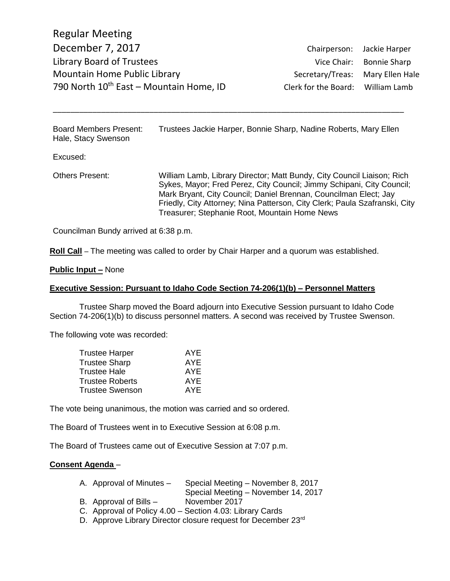Regular Meeting December 7, 2017 Chairperson: Jackie Harper Library Board of Trustees Vice Chair: Bonnie Sharp Mountain Home Public Library **Secretary/Treas:** Mary Ellen Hale 790 North  $10^{th}$  East – Mountain Home, ID Clerk for the Board: William Lamb

Board Members Present: Trustees Jackie Harper, Bonnie Sharp, Nadine Roberts, Mary Ellen Hale, Stacy Swenson

\_\_\_\_\_\_\_\_\_\_\_\_\_\_\_\_\_\_\_\_\_\_\_\_\_\_\_\_\_\_\_\_\_\_\_\_\_\_\_\_\_\_\_\_\_\_\_\_\_\_\_\_\_\_\_\_\_\_\_\_\_\_\_\_\_\_\_\_\_\_\_\_\_\_\_\_\_\_\_\_

Excused:

Others Present: William Lamb, Library Director; Matt Bundy, City Council Liaison; Rich Sykes, Mayor; Fred Perez, City Council; Jimmy Schipani, City Council; Mark Bryant, City Council; Daniel Brennan, Councilman Elect; Jay Friedly, City Attorney; Nina Patterson, City Clerk; Paula Szafranski, City Treasurer; Stephanie Root, Mountain Home News

Councilman Bundy arrived at 6:38 p.m.

**Roll Call** – The meeting was called to order by Chair Harper and a quorum was established.

### **Public Input –** None

#### **Executive Session: Pursuant to Idaho Code Section 74-206(1)(b) – Personnel Matters**

Trustee Sharp moved the Board adjourn into Executive Session pursuant to Idaho Code Section 74-206(1)(b) to discuss personnel matters. A second was received by Trustee Swenson.

The following vote was recorded:

| <b>Trustee Harper</b> | AYE |
|-----------------------|-----|
| Trustee Sharp         | AYE |
| Trustee Hale          | AYE |
| Trustee Roberts       | AYE |
| Trustee Swenson       | AYE |
|                       |     |

The vote being unanimous, the motion was carried and so ordered.

The Board of Trustees went in to Executive Session at 6:08 p.m.

The Board of Trustees came out of Executive Session at 7:07 p.m.

### **Consent Agenda** –

- A. Approval of Minutes Special Meeting November 8, 2017
- Special Meeting November 14, 2017 B. Approval of Bills – November 2017
- C. Approval of Policy 4.00 Section 4.03: Library Cards
- D. Approve Library Director closure request for December 23rd